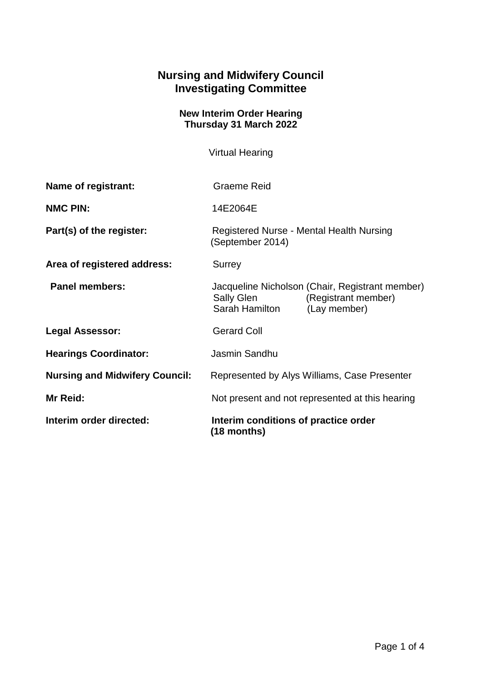## **Nursing and Midwifery Council Investigating Committee**

## **New Interim Order Hearing Thursday 31 March 2022**

Virtual Hearing

| Name of registrant:                   | <b>Graeme Reid</b>                                                                                                     |
|---------------------------------------|------------------------------------------------------------------------------------------------------------------------|
| <b>NMC PIN:</b>                       | 14E2064E                                                                                                               |
| Part(s) of the register:              | Registered Nurse - Mental Health Nursing<br>(September 2014)                                                           |
| Area of registered address:           | <b>Surrey</b>                                                                                                          |
| <b>Panel members:</b>                 | Jacqueline Nicholson (Chair, Registrant member)<br>Sally Glen<br>(Registrant member)<br>Sarah Hamilton<br>(Lay member) |
| <b>Legal Assessor:</b>                | <b>Gerard Coll</b>                                                                                                     |
| <b>Hearings Coordinator:</b>          | Jasmin Sandhu                                                                                                          |
| <b>Nursing and Midwifery Council:</b> | Represented by Alys Williams, Case Presenter                                                                           |
| Mr Reid:                              | Not present and not represented at this hearing                                                                        |
| Interim order directed:               | Interim conditions of practice order<br>(18 months)                                                                    |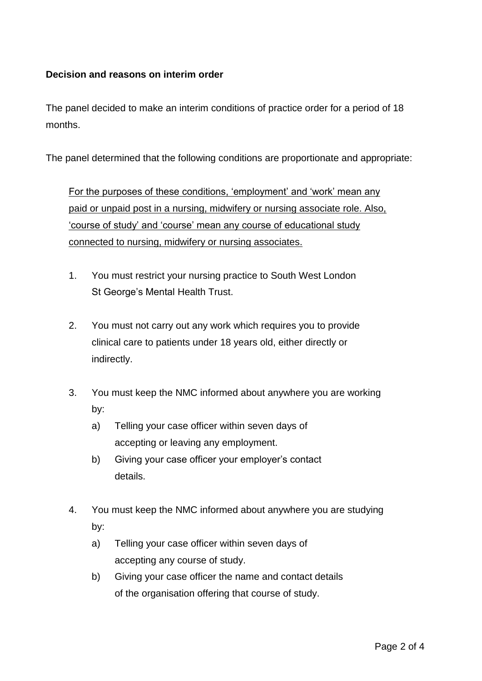## **Decision and reasons on interim order**

The panel decided to make an interim conditions of practice order for a period of 18 months.

The panel determined that the following conditions are proportionate and appropriate:

For the purposes of these conditions, 'employment' and 'work' mean any paid or unpaid post in a nursing, midwifery or nursing associate role. Also, 'course of study' and 'course' mean any course of educational study connected to nursing, midwifery or nursing associates.

- 1. You must restrict your nursing practice to South West London St George's Mental Health Trust.
- 2. You must not carry out any work which requires you to provide clinical care to patients under 18 years old, either directly or indirectly.
- 3. You must keep the NMC informed about anywhere you are working by:
	- a) Telling your case officer within seven days of accepting or leaving any employment.
	- b) Giving your case officer your employer's contact details.
- 4. You must keep the NMC informed about anywhere you are studying by:
	- a) Telling your case officer within seven days of accepting any course of study.
	- b) Giving your case officer the name and contact details of the organisation offering that course of study.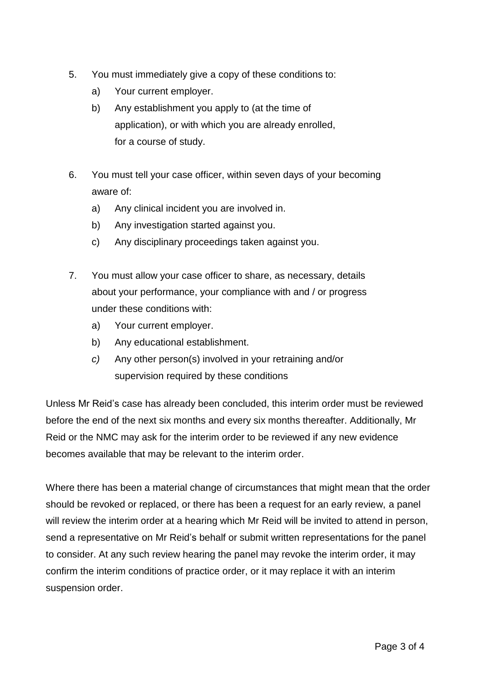- 5. You must immediately give a copy of these conditions to:
	- a) Your current employer.
	- b) Any establishment you apply to (at the time of application), or with which you are already enrolled, for a course of study.
- 6. You must tell your case officer, within seven days of your becoming aware of:
	- a) Any clinical incident you are involved in.
	- b) Any investigation started against you.
	- c) Any disciplinary proceedings taken against you.
- 7. You must allow your case officer to share, as necessary, details about your performance, your compliance with and / or progress under these conditions with:
	- a) Your current employer.
	- b) Any educational establishment.
	- *c)* Any other person(s) involved in your retraining and/or supervision required by these conditions

Unless Mr Reid's case has already been concluded, this interim order must be reviewed before the end of the next six months and every six months thereafter. Additionally, Mr Reid or the NMC may ask for the interim order to be reviewed if any new evidence becomes available that may be relevant to the interim order.

Where there has been a material change of circumstances that might mean that the order should be revoked or replaced, or there has been a request for an early review, a panel will review the interim order at a hearing which Mr Reid will be invited to attend in person, send a representative on Mr Reid's behalf or submit written representations for the panel to consider. At any such review hearing the panel may revoke the interim order, it may confirm the interim conditions of practice order, or it may replace it with an interim suspension order.